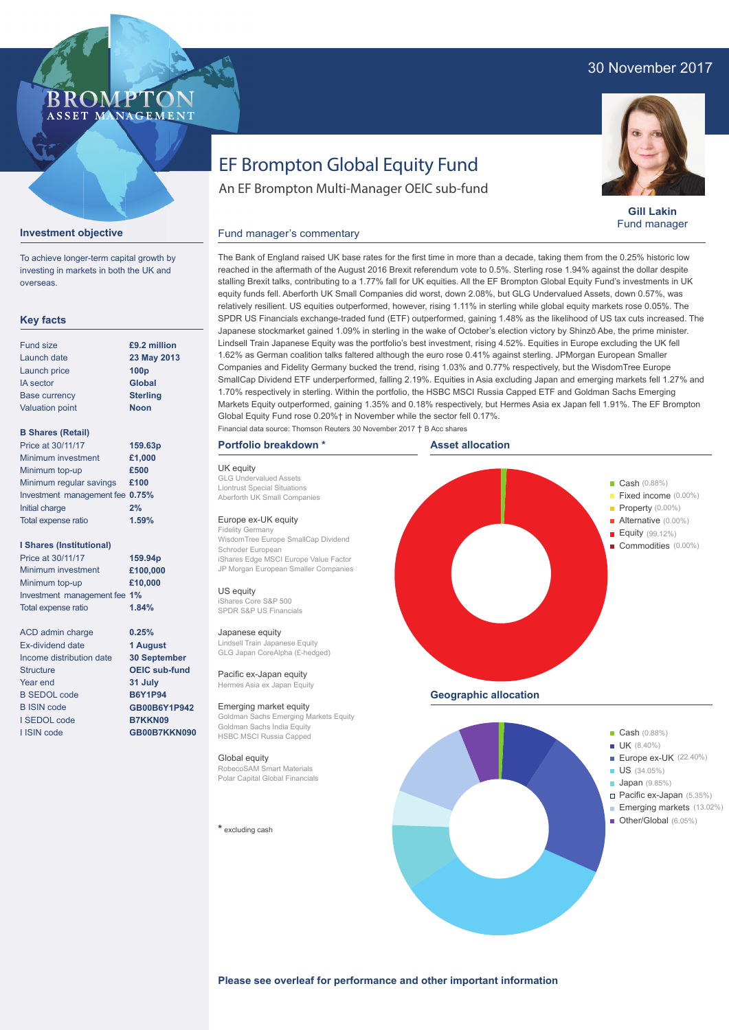# 30 November 2017

# **BROMP** ASSET MANAGEMENT

**Gill Lakin** Fund manager

# EF Brompton Global Equity Fund

An EF Brompton Multi-Manager OEIC sub-fund

### **Investment objective**

To achieve longer-term capital growth by investing in markets in both the UK and overseas.

### **Key facts**

| <b>Fund size</b>       | £9.2 million     |
|------------------------|------------------|
| Launch date            | 23 May 2013      |
| Launch price           | 100 <sub>p</sub> |
| <b>IA</b> sector       | <b>Global</b>    |
| <b>Base currency</b>   | <b>Sterling</b>  |
| <b>Valuation point</b> | <b>Noon</b>      |
|                        |                  |

#### **B Shares (Retail)**

| Price at 30/11/17               | 159.63p |
|---------------------------------|---------|
| Minimum investment              | £1,000  |
| Minimum top-up                  | £500    |
| Minimum regular savings         | £100    |
| Investment management fee 0.75% |         |
| Initial charge                  | 2%      |
| Total expense ratio             | 1.59%   |
|                                 |         |

#### **I Shares (Institutional)**

Minimum investment Minimum top-up Investment management fee **1%** Total expense ratio **£100,000 £10,000** Price at 30/11/17 **159.94p 1.84%**

> **0.25% 1 August 30 September OEIC sub-fund 31 July B6Y1P94 GB00B6Y1P942 B7KKN09 GB00B7KKN090**

ACD admin charge Ex-dividend date Income distribution date **Structure** Year end B SEDOL code B ISIN code I SEDOL code I ISIN code

The Bank of England raised UK base rates for the first time in more than a decade, taking them from the 0.25% historic low reached in the aftermath of the August 2016 Brexit referendum vote to 0.5%. Sterling rose 1.94% against the dollar despite stalling Brexit talks, contributing to a 1.77% fall for UK equities. All the EF Brompton Global Equity Fund's investments in UK equity funds fell. Aberforth UK Small Companies did worst, down 2.08%, but GLG Undervalued Assets, down 0.57%, was relatively resilient. US equities outperformed, however, rising 1.11% in sterling while global equity markets rose 0.05%. The SPDR US Financials exchange-traded fund (ETF) outperformed, gaining 1.48% as the likelihood of US tax cuts increased. The Japanese stockmarket gained 1.09% in sterling in the wake of October's election victory by Shinzō Abe, the prime minister. Lindsell Train Japanese Equity was the portfolio's best investment, rising 4.52%. Equities in Europe excluding the UK fell 1.62% as German coalition talks faltered although the euro rose 0.41% against sterling. JPMorgan European Smaller Companies and Fidelity Germany bucked the trend, rising 1.03% and 0.77% respectively, but the WisdomTree Europe SmallCap Dividend ETF underperformed, falling 2.19%. Equities in Asia excluding Japan and emerging markets fell 1.27% and 1.70% respectively in sterling. Within the portfolio, the HSBC MSCI Russia Capped ETF and Goldman Sachs Emerging Markets Equity outperformed, gaining 1.35% and 0.18% respectively, but Hermes Asia ex Japan fell 1.91%. The EF Brompton Global Equity Fund rose 0.20%† in November while the sector fell 0.17%.

## **Portfolio breakdown \***

Fund manager's commentary

UK equity GLG Undervalued Assets Liontrust Special Situations Aberforth UK Small Companies Europe ex-UK equity

Fidelity Germany WisdomTree Europe SmallCap Dividend Schroder European iShares Edge MSCI Europe Value Factor JP Morgan European Smaller Companies

US equity iShares Core S&P 500 SPDR S&P US Financials

#### Japanese equity

Lindsell Train Japanese Equity GLG Japan CoreAlpha (£-hedged)

Pacific ex-Japan equity Hermes Asia ex Japan Equity

Emerging market equity Goldman Sachs Emerging Markets Equity Goldman Sachs India Equity HSBC MSCI Russia Capped

#### Global equity

RobecoSAM Smart Materials Polar Capital Global Financials

**\*** excluding cash